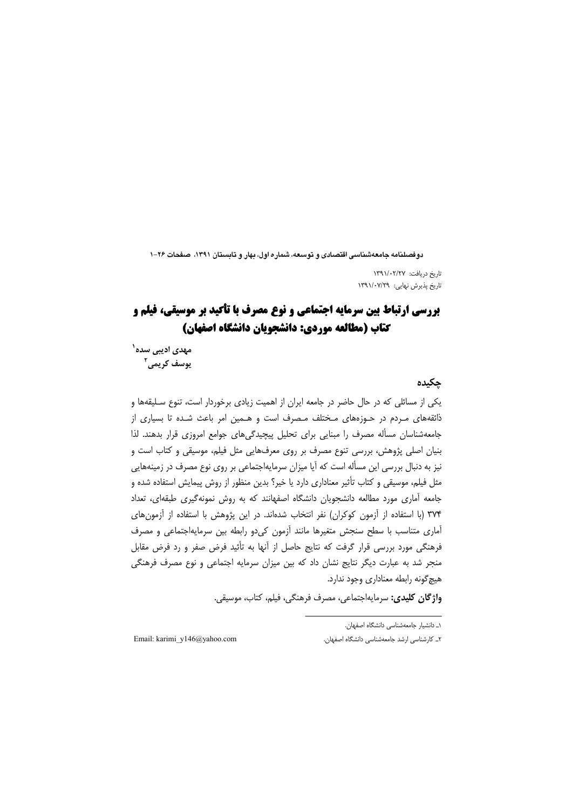دوفصلنامه جامعهشناسی اقتصادی و توسعه، شماره اول، بهار و تابستان ۱۳۹۱، صفحات ۲۶–۱

تاريخ دريافت: ١٣٩١/٠٢/٢٧ تاریخ پذیرش نهایی: ۱۳۹۱/۰۷/۲۹

# **بررسی ارتباط بین سرمایه اجتماعی و نوع مصرف با تأکید بر موسیقی، فیلم و** كتاب (مطالعه موردي: دانشجويان دانشگاه اصفهان)

مه*دی* ادیبی سده` يوسف کريمي<sup>۲</sup>

### حكىدە

یکی از مسائلی که در حال حاضر در جامعه ایران از اهمیت زیادی برخوردار است، تنوع سـلیقهها و ذائقههای مـردم در حـوزههای مـختلف مـصرف است و هـمین امر باعث شـده تا بسیاری از جامعه شناسان مسأله مصرف را مبنايي براى تحليل پيچيدگى هاى جوامع امروزى قرار بدهند. لذا بنیان اصلی پژوهش، بررسی تنوع مصرف بر روی معرفهایی مثل فیلم، موسیقی و کتاب است و نیز به دنبال بررسی این مسأله است که آیا میزان سرمایهاجتماعی بر روی نوع مصرف در زمینههایی مثل فیلم، موسیقی و کتاب تأثیر معناداری دارد یا خیر؟ بدین منظور از روش پیمایش استفاده شده و جامعه آماری مورد مطالعه دانشجویان دانشگاه اصفهانند که به روش نمونهگیری طبقهای، تعداد ٣٧۴ (با استفاده از آزمون كوكران) نفر انتخاب شدهاند. در اين پژوهش با استفاده از آزمون هاى آماری متناسب با سطح سنجش متغیرها مانند آزمون کی دو رابطه بین سرمایهاجتماعی و مصرف فرهنگی مورد بررسی قرار گرفت که نتایج حاصل از آنها به تأئید فرض صفر و رد فرض مقابل منجر شد به عبارت دیگر نتایج نشان داد که بین میزان سرمایه اجتماعی و نوع مصرف فرهنگی هیچ گونه رابطه معناداری وجود ندارد.

واژگان کلیدی: سرمایهاجتماعی، مصرف فرهنگی، فیلم، کتاب، موسیقی.

١ـ دانشيار جامعهشناسى دانشگاه اصفهان.

٢ـ كارشناسی ارشد جامعهشناسی دانشگاه اصفهان.

Email: karimi y146@yahoo.com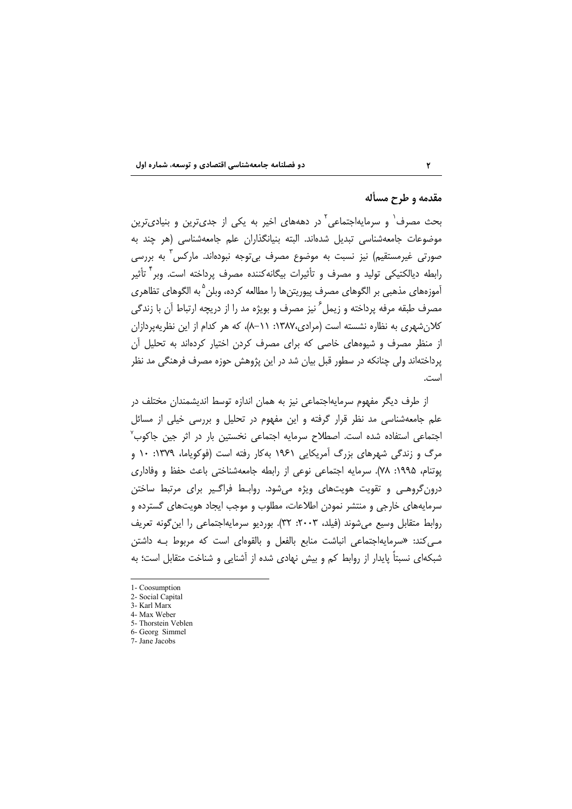### مقدمه و طرح مسأله

بحث مصرف` و سرمایهاجتماعی ٔ در دهههای اخیر به یکی از جدیترین و بنیادیترین موضوعات جامعهشناسی تبدیل شدهاند. البته بنیانگذاران علم جامعهشناسی (هر چند به صورتی غیرمستقیم) نیز نسبت به موضوع مصرف بی¤وجه نبودهاند. مارکس ٰ به بررسی رابطه دیالکتیکی تولید و مصرف و تأثیرات بیگانهکننده مصرف پرداخته است. وبر` تأثیر آموزههای مذهبی بر الگوهای مصرف پیوریتنها را مطالعه کرده، وبلن <sup>۵</sup> به الگوهای تظاهری مصرف طبقه مرفه پرداخته و زیمل<sup>′</sup> نیز مصرف و بویژه مد را از دریچه ارتباط آن با زندگی کلان شهری به نظاره نشسته است (مرادی،۱۳۸۷: ۱۱–۸)، که هر کدام از این نظریهپردازان از منظر مصرف و شیوههای خاصی که برای مصرف کردن اختیار کردهاند به تحلیل آن پرداختهاند ولی چنانکه در سطور قبل بیان شد در این پژوهش حوزه مصرف فرهنگی مد نظر است.

از طرف دیگر مفهوم سرمایهاجتماعی نیز به همان اندازه توسط اندیشمندان مختلف در علم جامعهشناسی مد نظر قرار گرفته و این مفهوم در تحلیل و بررسی خیلی از مسائل اجتماعی استفاده شده است. اصطلاح سرمایه اجتماعی نخستین بار در اثر جین جاکوب<sup>۷</sup> مرگ و زندگی شهرهای بزرگ آمریکایی ۱۹۶۱ بهکار رفته است (فوکویاما، ۱۳۷۹: ۱۰ و يوتنام، ۱۹۹۵: ۷۸). سرمايه اجتماعي نوعي از رابطه جامعهشناختي باعث حفظ و وفاداري درون گروهـي و تقويت هويتهاي ويژه مي شود. روابـط فراگـير براي مرتبط ساختن سرمایههای خارجی و منتشر نمودن اطلاعات، مطلوب و موجب ایجاد هویتهای گسترده و روابط متقابل وسيع مي شوند (فيلد، ٢٠٠٣: ٣٢). بورديو سرمايهاجتماعي را اين گونه تعريف مے کند: «سرمایهاجتماعی انباشت منابع بالفعل و بالقوهای است که مربوط بـه داشتن شبكهای نسبتاً یایدار از روابط كم و بیش نهادی شده از آشنایی و شناخت متقابل است؛ به

- 6- Georg Simmel
- 7- Jane Jacobs

<sup>1-</sup> Coosumption

<sup>2-</sup> Social Capital

<sup>3-</sup> Karl Marx 4- Max Weber

<sup>5-</sup> Thorstein Veblen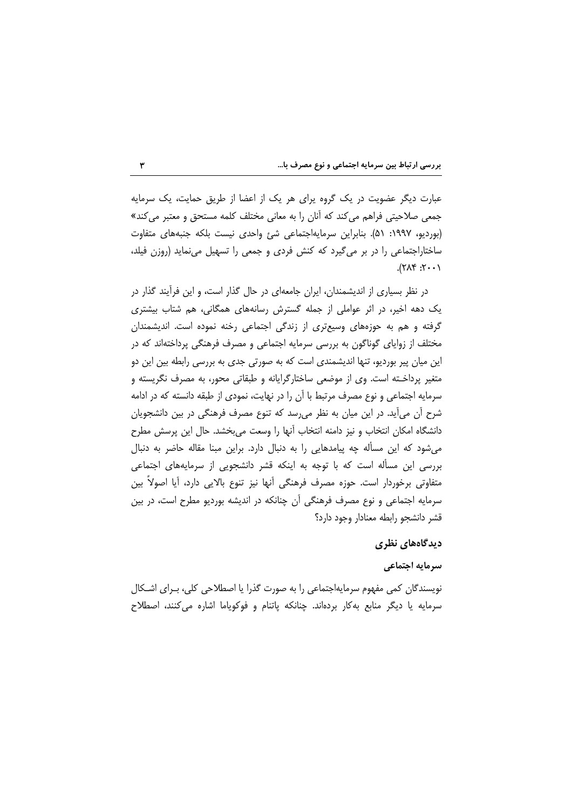عبارت دیگر عضویت در یک گروه پرای هر یک از اعضا از طریق حمایت، یک سرمایه جمعی صلاحیتی فراهم می کند که آنان را به معانی مختلف کلمه مستحق و معتبر می کند» (بوردیو، ۱۹۹۷: ۵۱). بنابراین سرمایهاجتماعی شئ واحدی نیست بلکه جنبههای متفاوت ساختاراجتماعی را در بر می گیرد که کنش فردی و جمعی را تسهیل می نماید (روزن فیلد،  $(1.7:7.9\lambda)$ 

در نظر بسیاری از اندیشمندان، ایران جامعهای در حال گذار است، و این فرآیند گذار در یک دهه اخیر، در اثر عواملی از جمله گسترش رسانههای همگانی، هم شتاب بیشتری گرفته و هم به حوزههای وسیعتری از زندگی اجتماعی رخنه نموده است. اندیشمندان مختلف از زوایای گوناگون به بررسی سرمایه اجتماعی و مصرف فرهنگی پرداختهاند که در این میان پیر بوردیو، تنها اندیشمندی است که به صورتی جدی به بررسی رابطه بین این دو متغیر پرداخـته است. وی از موضعی ساختارگرایانه و طبقاتی محور، به مصرف نگریسته و سرمایه اجتماعی و نوع مصرف مرتبط با آن را در نهایت، نمودی از طبقه دانسته که در ادامه شرح أن می[ید. در این میان به نظر میرسد که تنوع مصرف فرهنگی در بین دانشجویان دانشگاه امکان انتخاب و نیز دامنه انتخاب آنها را وسعت میبخشد. حال این پرسش مطرح میشود که این مسأله چه پیامدهایی را به دنبال دارد. براین مبنا مقاله حاضر به دنبال بررسی این مسأله است که با توجه به اینکه قشر دانشجویی از سرمایههای اجتماعی متفاوتی برخوردار است. حوزه مصرف فرهنگی أنها نیز تنوع بالایی دارد، أیا اصولاً بین سرمایه اجتماعی و نوع مصرف فرهنگی آن چنانکه در اندیشه بوردیو مطرح است، در بین قشر دانشجو رابطه معنادار وجود دارد؟

## دیدگاههای نظری

### سرمايه اجتماعي

نویسندگان کمی مفهوم سرمایهاجتماعی را به صورت گذرا یا اصطلاحی کلی، بـرای اشـکال سرمایه یا دیگر منابع بهکار بردهاند. چنانکه پاتنام و فوکوپاما اشاره می کنند، اصطلاح

 $\mathbf{r}$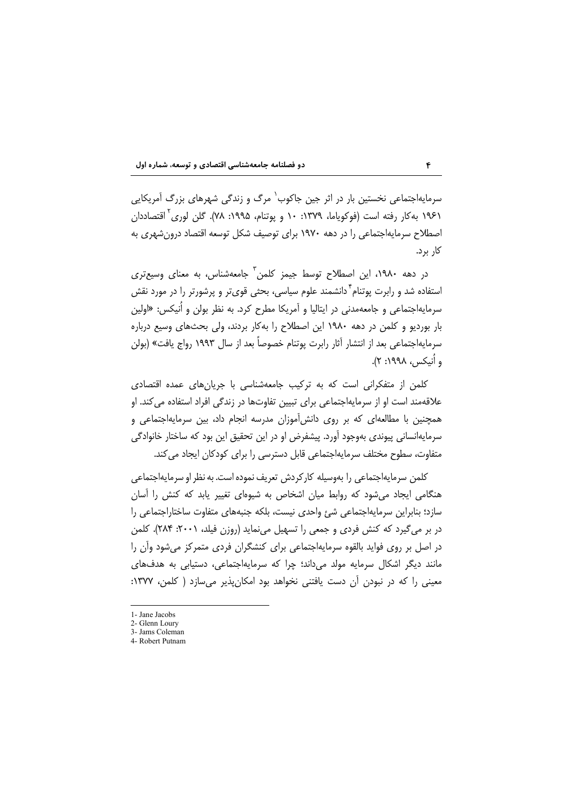سرمایهاجتماعی نخستین بار در اثر جین جاکوب<sup>٬</sup> مرگ و زندگی شهرهای بزرگ آمریکایی ۱۹۶۱ به کار رفته است (فوکویاما، ۱۳۷۹: ۱۰ و یوتنام، ۱۹۹۵: ۷۸). گلن لوری<sup>۲</sup> اقتصاددان اصطلاح سرمایهاجتماعی را در دهه ۱۹۷۰ برای توصیف شکل توسعه اقتصاد درون شهری به کا, یرد.

در دهه ۱۹۸۰، این اصطلاح توسط جیمز کلمن<sup>۲</sup> جامعهشناس، به معنای وسیعتری استفاده شد و رابرت یوتنام<sup>۴</sup> دانشمند علوم سیاسی، بحثی قویتر و پرشورتر را در مورد نقش سرمایهاجتماعی و جامعهمدنی در ایتالیا و آمریکا مطرح کرد. به نظر بولن و اُنیکس: «اولین بار بوردیو و کلمن در دهه ۱۹۸۰ این اصطلاح را بهکار بردند، ولی بحثهای وسیع درباره سرمايهاجتماعي بعد از انتشار آثار رابرت يوتنام خصوصاً بعد از سال ۱۹۹۳ رواج يافت» (بولن و أنيكس، ١٩٩٨: ٢).

کلمن از متفکرانی است که به ترکیب جامعهشناسی با جریانهای عمده اقتصادی علاقهمند است او از سرمایهاجتماعی برای تبیین تفاوتها در زندگی افراد استفاده می کند. او همچنین با مطالعهای که بر روی دانش آموزان مدرسه انجام داد، بین سرمایهاجتماعی و سرمايهانساني پيوندي بهوجود آورد. پيشفرض او در اين تحقيق اين بود كه ساختار خانوادگي متفاوت، سطوح مختلف سرمایهاجتماعی قابل دسترسی را برای کودکان ایجاد می کند.

کلمن سرمایهاجتماعی را بهوسیله کارکردش تعریف نموده است. به نظر او سرمایهاجتماعی هنگامی ایجاد می شود که روابط میان اشخاص به شیوهای تغییر یابد که کنش را آسان سازد؛ بنابراین سرمایهاجتماعی شئ واحدی نیست، بلکه جنبههای متفاوت ساختاراجتماعی را در بر میگیرد که کنش فردی و جمعی را تسهیل مینماید (روزن فیلد، ۲۰۰۱: ۲۸۴). کلمن در اصل بر روی فواید بالقوه سرمایهاجتماعی برای کنشگران فردی متمرکز می شود واَن را مانند دیگر اشکال سرمایه مولد می داند؛ چرا که سرمایهاجتماعی، دستیابی به هدفهای معینی را که در نبودن آن دست یافتنی نخواهد بود امکان پذیر می سازد ( کلمن، ۱۳۷۷:

<sup>1-</sup> Jane Jacobs

<sup>2-</sup> Glenn Loury 3- Jams Coleman

<sup>4.</sup> Robert Putnam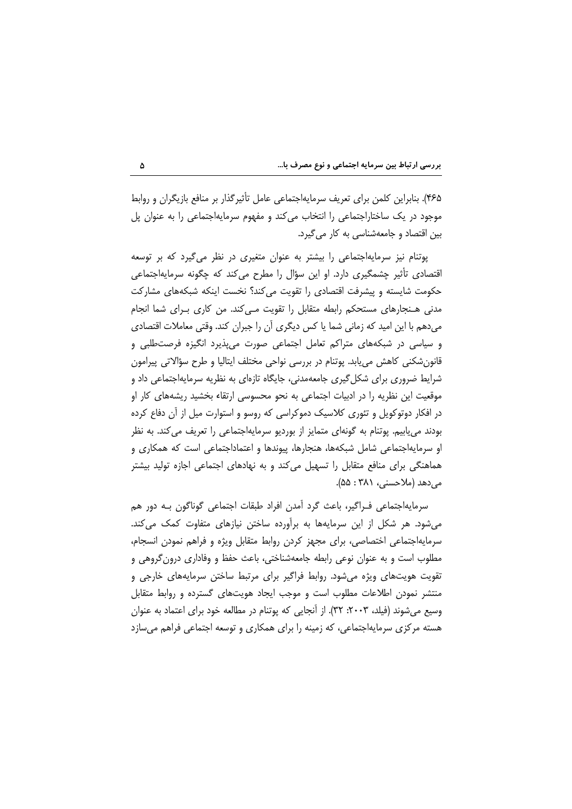۴۶۵). بنابراین کلمن برای تعریف سرمایهاجتماعی عامل تأثیرگذار بر منافع بازیگران و روابط موجود در یک ساختاراجتماعی را انتخاب می کند و مفهوم سرمایهاجتماعی را به عنوان پل بین اقتصاد و جامعهشناسی به کار می گیرد.

یوتنام نیز سرمایهاجتماعی را بیشتر به عنوان متغیری در نظر می گیرد که بر توسعه اقتصادی تأثیر چشمگیری دارد. او این سؤال را مطرح می کند که چگونه سرمایهاجتماعی حکومت شایسته و پیشرفت اقتصادی را تقویت می کند؟ نخست اینکه شبکههای مشارکت مدنی هـنجارهای مستحکم رابطه متقابل را تقویت مـیکند. من کاری بـرای شما انجام میدهم با این امید که زمانی شما یا کس دیگری آن را جبران کند. وقتی معاملات اقتصادی و سیاسی در شبکههای متراکم تعامل اجتماعی صورت می پذیرد انگیزه فرصتطلبی و قانونشکنی کاهش می یابد. پوتنام در بررسی نواحی مختلف ایتالیا و طرح سؤالاتی پیرامون شرایط ضروری برای شکل گیری جامعهمدنی، جایگاه تازهای به نظریه سرمایهاجتماعی داد و موقعیت این نظریه را در ادبیات اجتماعی به نحو محسوسی ارتقاء بخشید ریشههای کار او در افکار دوتوکویل و تئوری کلاسیک دموکراسی که روسو و استوارت میل از آن دفاع کرده بودند می یابیم. پوتنام به گونهای متمایز از بوردیو سرمایهاجتماعی را تعریف می کند. به نظر او سرمایهاجتماعی شامل شبکهها، هنجارها، پیوندها و اعتماداجتماعی است که همکاری و هماهنگی برای منافع متقابل را تسهیل می کند و به نهادهای اجتماعی اجازه تولید بیشتر می ردهد (ملاحسنی، ۳۸۱ : ۵۵).

سرمايهاجتماعي فـراگير، باعث گرد آمدن افراد طبقات اجتماعي گوناگون بـه دور هم می شود. هر شکل از این سرمایهها به برآورده ساختن نیازهای متفاوت کمک می کند. سرمايه|جتماعي اختصاصي، براي مجهز كردن روابط متقابل ويژه و فراهم نمودن انسجام، مطلوب است و به عنوان نوعی رابطه جامعهشناختی، باعث حفظ و وفاداری درون گروهی و تقویت هویتهای ویژه میشود. روابط فراگیر برای مرتبط ساختن سرمایههای خارجی و منتشر نمودن اطلاعات مطلوب است و موجب ایجاد هویتهای گسترده و روابط متقابل وسیع میشوند (فیلد، ۲۰۰۳: ۳۲). از آنجایی که پوتنام در مطالعه خود برای اعتماد به عنوان هسته مرکزی سرمایهاجتماعی، که زمینه را برای همکاری و توسعه اجتماعی فراهم می سازد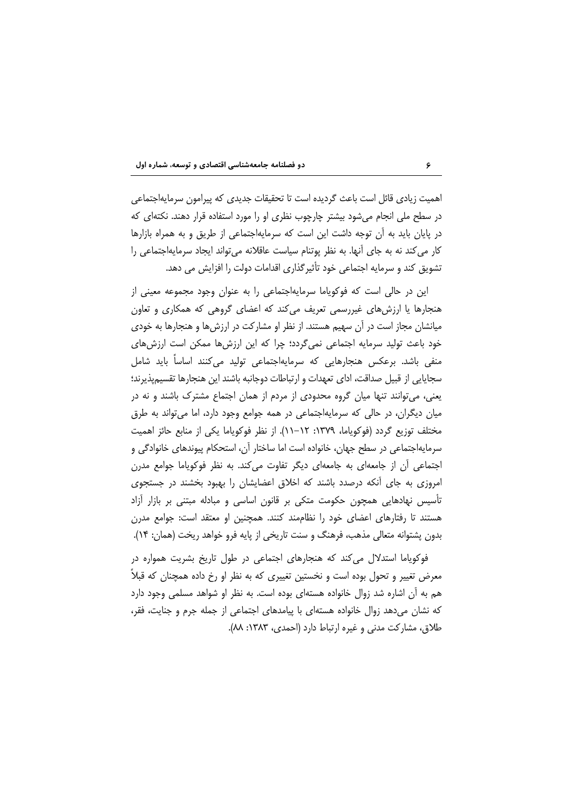اهمیت زیادی قائل است باعث گردیده است تا تحقیقات جدیدی که پیرامون سرمایهاجتماعی در سطح ملی انجام می شود بیشتر چارچوب نظری او را مورد استفاده قرار دهند. نکتهای که در پایان باید به آن توجه داشت این است که سرمایهاجتماعی از طریق و به همراه بازارها کار می کند نه به جای آنها. به نظر پوتنام سیاست عاقلانه می تواند ایجاد سرمایهاجتماعی را تشویق کند و سرمایه اجتماعی خود تأثیرگذاری اقدامات دولت را افزایش می دهد.

این در حالی است که فوکویاما سرمایهاجتماعی را به عنوان وجود مجموعه معینی از هنجارها یا ارزشهای غیررسمی تعریف میکند که اعضای گروهی که همکاری و تعاون میانشان مجاز است در آن سهیم هستند. از نظر او مشارکت در ارزشها و هنجارها به خودی خود باعث تولید سرمایه اجتماعی نمی گردد؛ چرا که این ارزش ها ممکن است ارزش های منفی باشد. برعکس هنجارهایی که سرمایهاجتماعی تولید میکنند اساساً باید شامل سجايايي از قبيل صداقت، اداي تعهدات و ارتباطات دوجانبه باشند اين هنجارها تقسيميذيرند؛ یعنی، می توانند تنها میان گروه محدودی از مردم از همان اجتماع مشترک باشند و نه در میان دیگران، در حالی که سرمایهاجتماعی در همه جوامع وجود دارد، اما می تواند به طرق مختلف توزيع گردد (فوكوياما، ١٣٧٩: ١٢-١١). از نظر فوكوياما يكي از منابع حائز اهميت سرمایهاجتماعی در سطح جهان، خانواده است اما ساختار آن، استحکام پیوندهای خانوادگی و اجتماعی اَن از جامعهای به جامعهای دیگر تفاوت می کند. به نظر فوکویاما جوامع مدرن امروزی به جای آنکه درصدد باشند که اخلاق اعضایشان را بهبود بخشند در جستجوی تأسیس نهادهایی همچون حکومت متکی بر قانون اساسی و مبادله مبتنی بر بازار ازاد هستند تا رفتارهای اعضای خود را نظاممند کنند. همچنین او معتقد است: جوامع مدرن بدون پشتوانه متعالی مذهب، فرهنگ و سنت تاریخی از پایه فرو خواهد ریخت (همان: ۱۴).

فوکویاما استدلال میکند که هنجارهای اجتماعی در طول تاریخ بشریت همواره در معرض تغییر و تحول بوده است و نخستین تغییری که به نظر او رخ داده همچنان که قبلاً هم به آن اشاره شد زوال خانواده هستهای بوده است. به نظر او شواهد مسلمی وجود دارد که نشان میدهد زوال خانواده هستهای با پیامدهای اجتماعی از جمله جرم و جنایت، فقر، طلاق، مشاركت مدنى و غيره ارتباط دارد (احمدى، ١٣٨٣: ٨٨).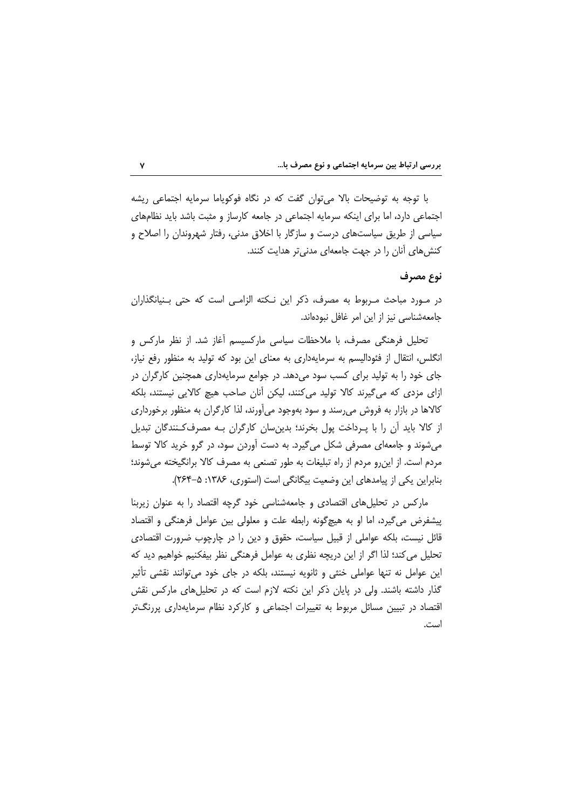|  |  |  |  |  | بررسی ارتباط بین سرمایه اجتماعی و نوع مصرف با… |
|--|--|--|--|--|------------------------------------------------|
|--|--|--|--|--|------------------------------------------------|

با توجه به توضیحات بالا می توان گفت که در نگاه فوکویاما سرمایه اجتماعی ریشه اجتماعی دارد، اما برای اینکه سرمایه اجتماعی در جامعه کارساز و مثبت باشد باید نظامهای سیاسی از طریق سیاستهای درست و سازگار با اخلاق مدنی، رفتار شهروندان را اصلاح و کنش های آنان را در جهت جامعهای مدنی تر هدایت کنند.

### نوع مصرف

در مورد مباحث مربوط به مصرف، ذكر اين نكته الزامي است كه حتى بـنيانگذاران جامعهشناسی نیز از این امر غافل نبودهاند.

تحلیل فرهنگی مصرف، با ملاحظات سیاسی مارکسیسم آغاز شد. از نظر مارکس و انگلس، انتقال از فئودالیسم به سرمایهداری به معنای این بود که تولید به منظور رفع نیاز، جای خود را به تولید برای کسب سود میدهد. در جوامع سرمایهداری همچنین کارگران در ازای مزدی که میگیرند کالا تولید میکنند، لیکن آنان صاحب هیچ کالایی نیستند، بلکه کالاها در بازار به فروش می رسند و سود بهوجود می آورند، لذا کارگران به منظور برخورداری از کالا باید آن را با پـرداخت پول بخرند؛ بدین سان کارگران بـه مصرفکنندگان تبدیل میشوند و جامعهای مصرفی شکل میگیرد. به دست آوردن سود، در گرو خرید کالا توسط مردم است. از این رو مردم از راه تبلیغات به طور تصنعی به مصرف کالا برانگیخته می شوند؛ بنابراین یکی از پیامدهای این وضعیت بیگانگی است (استوری، ۱۳۸۶: ۵-۲۶۴).

مارکس در تحلیلهای اقتصادی و جامعهشناسی خود گرچه اقتصاد را به عنوان زیربنا پیشفرض می گیرد، اما او به هیچگونه رابطه علت و معلولی بین عوامل فرهنگی و اقتصاد قائل نیست، بلکه عواملی از قبیل سیاست، حقوق و دین را در چارچوب ضرورت اقتصادی تحلیل می کند؛ لذا اگر از این دریچه نظری به عوامل فرهنگی نظر بیفکنیم خواهیم دید که این عوامل نه تنها عواملی خنثی و ثانویه نیستند، بلکه در جای خود می توانند نقشی تأثیر گذار داشته باشند. ولی در پایان ذکر این نکته لازم است که در تحلیلهای مارکس نقش اقتصاد در تبیین مسائل مربوط به تغییرات اجتماعی و کارکرد نظام سرمایهداری پررنگتر است.

 $\mathsf{Y}$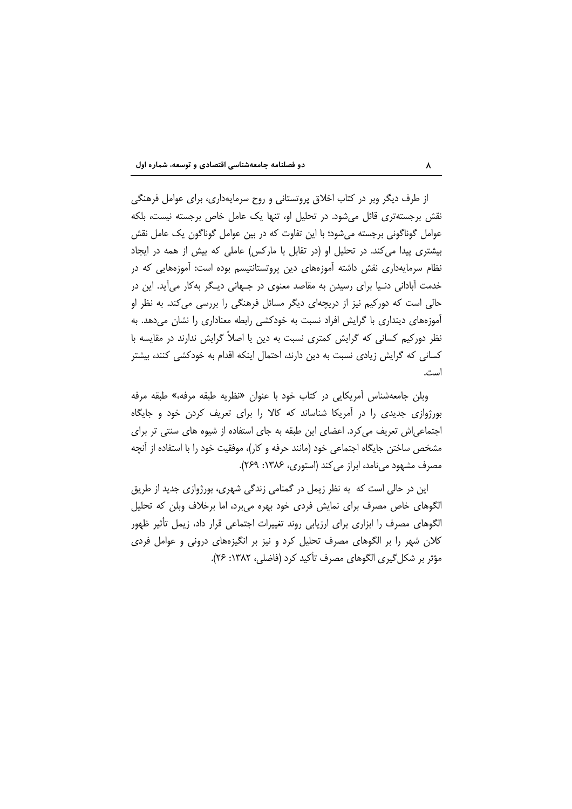از طرف دیگر وبر در کتاب اخلاق پروتستانی و روح سرمایهداری، برای عوامل فرهنگی نقش برجستهتری قائل می شود. در تحلیل او، تنها یک عامل خاص برجسته نیست، بلکه عوامل گوناگونی برجسته میشود؛ با این تفاوت که در بین عوامل گوناگون یک عامل نقش بیشتری پیدا می کند. در تحلیل او (در تقابل با مارکس) عاملی که بیش از همه در ایجاد نظام سرمایهداری نقش داشته آموزههای دین پروتستانتیسم بوده است: آموزههایی که در خدمت ابادانی دنـیا برای رسیدن به مقاصد معنوی در جـهانی دیـگر بهکار می|ید. این در حالی است که دورکیم نیز از دریچهای دیگر مسائل فرهنگی را بررسی میکند. به نظر او آموزههای دینداری با گرایش افراد نسبت به خودکشی رابطه معناداری را نشان می دهد. به نظر دورکیم کسانی که گرایش کمتری نسبت به دین یا اصلاً گرایش ندارند در مقایسه با کسانی که گرایش زیادی نسبت به دین دارند، احتمال اینکه اقدام به خودکشی کنند، بیشتر است.

وبلن جامعهشناس أمريكايي در كتاب خود با عنوان «نظريه طبقه مرفه،» طبقه مرفه بورژوازی جدیدی را در آمریکا شناساند که کالا را برای تعریف کردن خود و جایگاه اجتماعی اش تعریف می کرد. اعضای این طبقه به جای استفاده از شیوه های سنتی تر برای مشخص ساختن جایگاه اجتماعی خود (مانند حرفه و کار)، موفقیت خود را با استفاده از آنچه مصرف مشهود می نامد، ابراز می کند (استوری، ۱۳۸۶: ۲۶۹).

این در حالی است که به نظر زیمل در گمنامی زندگی شهری، بورژوازی جدید از طریق الگوهای خاص مصرف برای نمایش فردی خود بهره میبرد، اما برخلاف وبلن که تحلیل الگوهای مصرف را ابزاری برای ارزیابی روند تغییرات اجتماعی قرار داد، زیمل تأثیر ظهور کلان شهر را بر الگوهای مصرف تحلیل کرد و نیز بر انگیزههای درونی و عوامل فردی مؤثر بر شكل گيري الگوهاي مصرف تأكيد كرد (فاضلي، ١٣٨٢: ٢۶).

 $\pmb{\lambda}$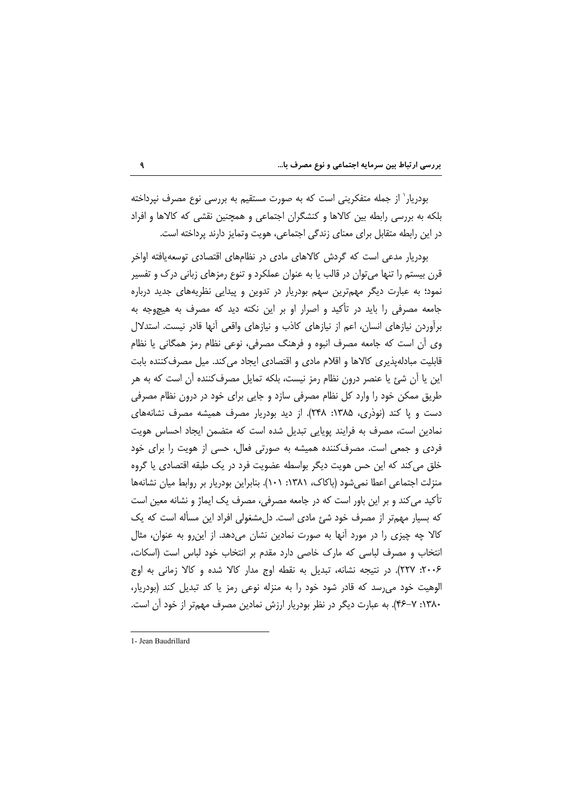بودریار` از جمله متفکرینی است که به صورت مستقیم به بررسی نوع مصرف نپرداخته بلکه به بررسی رابطه بین کالاها و کنشگران اجتماعی و همچنین نقشی که کالاها و افراد در این رابطه متقابل برای معنای زندگی اجتماعی، هویت وتمایز دارند پرداخته است.

بودر بار مدعی است که گردش کالاهای مادی در نظامهای اقتصادی توسعهیافته اواخر قرن بیستم را تنها می¤وان در قالب یا به عنوان عملکرد و تنوع رمزهای زبانی درک و تفسیر نمود؛ به عبارت دیگر مهمترین سهم بودریار در تدوین و پیدایی نظریههای جدید درباره جامعه مصرفی را باید در تأکید و اصرار او بر این نکته دید که مصرف به هیچ وجه به برأوردن نیازهای انسان، اعم از نیازهای کاذب و نیازهای واقعی أنها قادر نیست. استدلال وي أن است كه جامعه مصرف انبوه و فرهنگ مصرفي، نوعي نظام رمز همگاني يا نظام قابلیت مبادلهپذیری کالاها و اقلام مادی و اقتصادی ایجاد میکند. میل مصرف کننده بابت این یا آن شئ یا عنصر درون نظام رمز نیست، بلکه تمایل مصرفکننده آن است که به هر طریق ممکن خود را وارد کل نظام مصرفی سازد و جایی برای خود در درون نظام مصرفی دست و پا کند (نوذری، ۱۳۸۵: ۲۴۸). از دید بودریار مصرف همیشه مصرف نشانههای نمادین است، مصرف به فرایند پویایی تبدیل شده است که متضمن ایجاد احساس هویت فردی و جمعی است. مصرف کننده همیشه به صورتی فعال، حسی از هویت را برای خود خلق می کند که این حس هویت دیگر بواسطه عضویت فرد در یک طبقه اقتصادی یا گروه منزلت اجتماعی اعطا نمیشود (باکاک، ۱۳۸۱: ۱۰۱). بنابراین بودریار بر روابط میان نشانهها تأکید می کند و بر این باور است که در جامعه مصرفی، مصرف یک ایماژ و نشانه معین است که بسیار مهمتر از مصرف خود شئ مادی است. دل مشغولی افراد این مسأله است که یک کالا چه چیزی را در مورد آنها به صورت نمادین نشان میدهد. از این,رو به عنوان، مثال انتخاب و مصرف لباسی که مارک خاصی دارد مقدم بر انتخاب خود لباس است (اسکات، ۲۰۰۶: ۲۲۷). در نتیجه نشانه، تبدیل به نقطه اوج مدار کالا شده و کالا زمانی به اوج الوهیت خود می رسد که قادر شود خود را به منزله نوعی رمز یا کد تبدیل کند (بودریار، ۱۳۸۰: ۷–۴۶). به عبارت دیگر در نظر بودریار ارزش نمادین مصرف مهمتر از خود آن است.

 $\mathbf{q}$ 

<sup>1-</sup> Jean Baudrillard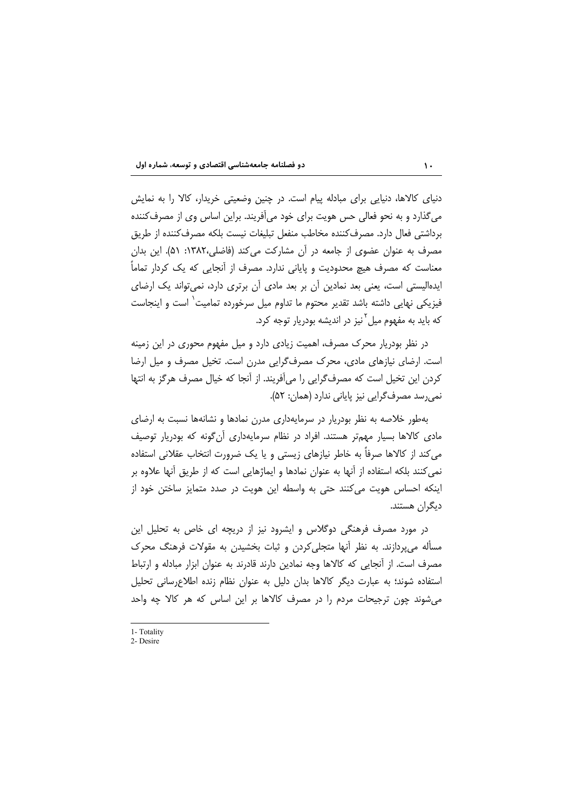دنیای کالاها، دنیایی برای مبادله پیام است. در چنین وضعیتی خریدار، کالا را به نمایش می گذارد و به نحو فعالی حس هویت برای خود می آفریند. براین اساس وی از مصرف کننده برداشتی فعال دارد. مصرف کننده مخاطب منفعل تبلیغات نیست بلکه مصرف کننده از طریق مصرف به عنوان عضوی از جامعه در آن مشارکت می کند (فاضلی،۱۳۸۲: ۵۱). این بدان معناست که مصرف هیچ محدودیت و پایانی ندارد. مصرف از اَنجایی که یک کردار تماماً ایدهالیستی است، یعنی بعد نمادین آن بر بعد مادی آن برتری دارد، نمیتواند یک ارضای فیزیکی نهایی داشته باشد تقدیر محتوم ما تداوم میل سرخورده تمامیت<sup>٬</sup> است و اینجاست که باید به مفهوم میل<sup>۲</sup>نیز در اندیشه بودریار توجه کرد.

در نظر بودریار محرک مصرف، اهمیت زیادی دارد و میل مفهوم محوری در این زمینه است. ارضای نیازهای مادی، محرک مصرف گرایی مدرن است. تخیل مصرف و میل ارضا كردن اين تخيل است كه مصرف گرايي را مي آفريند. از آنجا كه خيال مصرف هرگز به انتها نمی رسد مصرف گرایی نیز پایانی ندارد (همان: ۵۲).

بهطور خلاصه به نظر بودریار در سرمایهداری مدرن نمادها و نشانهها نسبت به ارضای مادی کالاها بسیار مهمتر هستند. افراد در نظام سرمایهداری آنگونه که بودریار توصیف می کند از کالاها صرفاً به خاطر نیازهای زیستی و یا یک ضرورت انتخاب عقلانی استفاده نمي كنند بلكه استفاده از آنها به عنوان نمادها و ايماژهايي است كه از طريق آنها علاوه بر اینکه احساس هویت می کنند حتی به واسطه این هویت در صدد متمایز ساختن خود از دیگران هستند.

در مورد مصرف فرهنگی دوگلاس و ایشرود نیز از دریچه ای خاص به تحلیل این مسأله مى يردازند. به نظر أنها متجلى كردن و ثبات بخشيدن به مقولات فرهنگ محرك مصرف است. از آنجایی که کالاها وجه نمادین دارند قادرند به عنوان ابزار مبادله و ارتباط استفاده شوند؛ به عبارت دیگر کالاها بدان دلیل به عنوان نظام زنده اطلاعرسانی تحلیل می شوند چون ترجیحات مردم را در مصرف کالاها بر این اساس که هر کالا چه واحد

<sup>1-</sup> Totality

<sup>2.</sup> Desire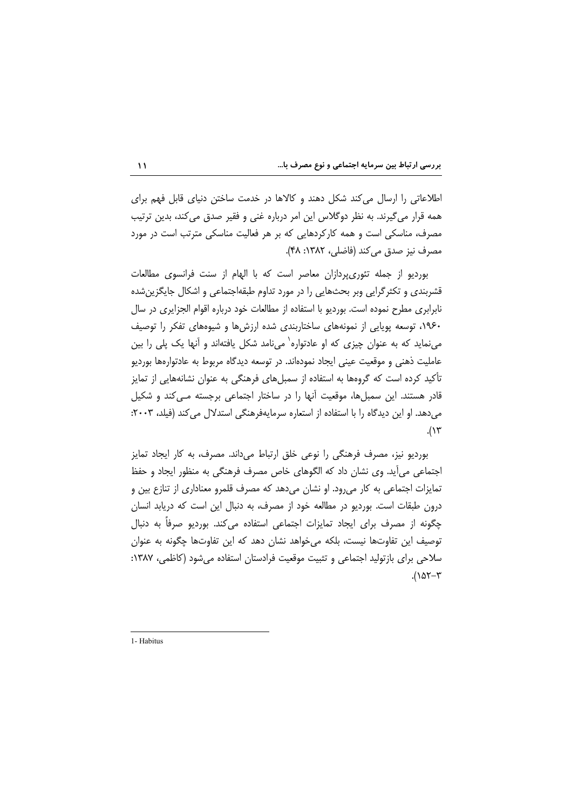اطلاعاتی را ارسال می کند شکل دهند و کالاها در خدمت ساختن دنیای قابل فهم برای همه قرار می گیرند. به نظر دوگلاس این امر درباره غنی و فقیر صدق می کند، بدین ترتیب مصرف، مناسکی است و همه کارکردهایی که بر هر فعالیت مناسکی مترتب است در مورد مصرف نيز صدق مي كند (فاضلي، ١٣٨٢: ۴٨).

بوردیو از جمله تئوریپردازان معاصر است که با الهام از سنت فرانسوی مطالعات قشربندی و تکثرگرایی وبر بحثهایی را در مورد تداوم طبقهاجتماعی و اشکال جایگزینشده نابرابری مطرح نموده است. بوردیو با استفاده از مطالعات خود درباره اقوام الجزایری در سال ۱۹۶۰، توسعه پویایی از نمونههای ساختاربندی شده ارزشها و شیوههای تفکر را توصیف می نماید که به عنوان چیزی که او عادتواره` می نامد شکل یافتهاند و آنها یک پلی را بین عاملیت ذهنی و موقعیت عینی ایجاد نمودهاند. در توسعه دیدگاه مربوط به عادتوارهها بوردیو تأکید کرده است که گروهها به استفاده از سمبلهای فرهنگی به عنوان نشانههایی از تمایز قادر هستند. این سمبلها، موقعیت آنها را در ساختار اجتماعی برجسته مـی کند و شکیل می دهد. او این دیدگاه را با استفاده از استعاره سرمایهفرهنگی استدلال می کند (فیلد، ۲۰۰۳:  $.(\vee \vee$ 

بوردیو نیز، مصرف فرهنگی را نوعی خلق ارتباط میداند. مصرف، به کار ایجاد تمایز اجتماعی می آید. وی نشان داد که الگوهای خاص مصرف فرهنگی به منظور ایجاد و حفظ تمایزات اجتماعی به کار می رود. او نشان می دهد که مصرف قلمرو معناداری از تنازع بین و درون طبقات است. بوردیو در مطالعه خود از مصرف، به دنبال این است که دریابد انسان چگونه از مصرف برای ایجاد تمایزات اجتماعی استفاده می کند. بوردیو صرفاً به دنبال توصيف اين تفاوتها نيست، بلكه مي خواهد نشان دهد كه اين تفاوتها چگونه به عنوان سلاحی برای بازتولید اجتماعی و تثبیت موقعیت فرادستان استفاده میشود (کاظمی، ۱۳۸۷:  $(107 - 7)$ 

 $\mathbf{A}$ 

1- Habitus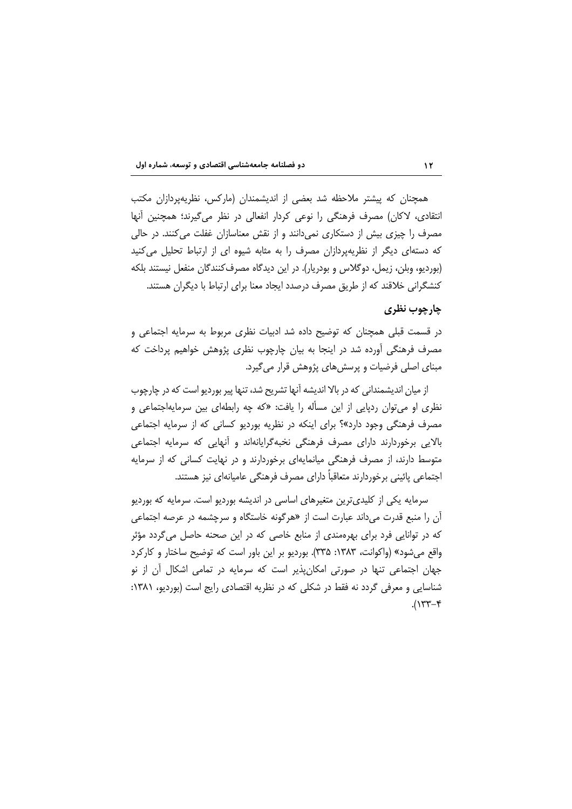همچنان که پیشتر ملاحظه شد بعضی از اندیشمندان (مارکس، نظریهپردازان مکتب انتقادی، لاکان) مصرف فرهنگی را نوعی کردار انفعالی در نظر میگیرند؛ همچنین آنها مصرف را چیزی بیش از دستکاری نمیدانند و از نقش معناسازان غفلت میکنند. در حالی که دستهای دیگر از نظریهپردازان مصرف را به مثابه شیوه ای از ارتباط تحلیل می کنید (بورديو، وبلن، زيمل، دوگلاس و بودريار). در اين ديدگاه مصرف كنندگان منفعل نيستند بلكه کنشگرانی خلاقند که از طریق مصرف درصدد ایجاد معنا برای ارتباط با دیگران هستند.

# چارچوب نظری

در قسمت قبلی همچنان که توضیح داده شد ادبیات نظری مربوط به سرمایه اجتماعی و مصرف فرهنگی اَورده شد در اینجا به بیان چارچوب نظری پژوهش خواهیم پرداخت که مبنای اصلی فرضیات و پرسش های پژوهش قرار می گیرد.

از میان اندیشمندانی که در بالا اندیشه آنها تشریح شد، تنها پیر بوردیو است که در چارچوب نظری او می توان ردپایی از این مسأله را یافت: «که چه رابطهای بین سرمایهاجتماعی و مصرف فرهنگی وجود دارد»؟ برای اینکه در نظریه بوردیو کسانی که از سرمایه اجتماعی بالایی برخوردارند دارای مصرف فرهنگی نخبهگرایانهاند و أنهایی که سرمایه اجتماعی متوسط دارند، از مصرف فرهنگی میانمایهای برخوردارند و در نهایت کسانی که از سرمایه اجتماعی پائینی برخوردارند متعاقباً دارای مصرف فرهنگی عامیانهای نیز هستند.

سرمایه یکی از کلیدیترین متغیرهای اساسی در اندیشه بوردیو است. سرمایه که بوردیو آن را منبع قدرت میداند عبارت است از «هرگونه خاستگاه و سرچشمه در عرصه اجتماعی که در توانایی فرد برای بهرهمندی از منابع خاصی که در این صحنه حاصل میگردد مؤثر واقع میشود» (واکوانت، ۱۳۸۳: ۳۳۵). بوردیو بر این باور است که توضیح ساختار و کارکرد جهان اجتماعی تنها در صورتی امکان پذیر است که سرمایه در تمامی اشکال آن از نو شناسایی و معرفی گردد نه فقط در شکلی که در نظریه اقتصادی رایج است (بوردیو، ۱۳۸۱:  $4-\gamma^2$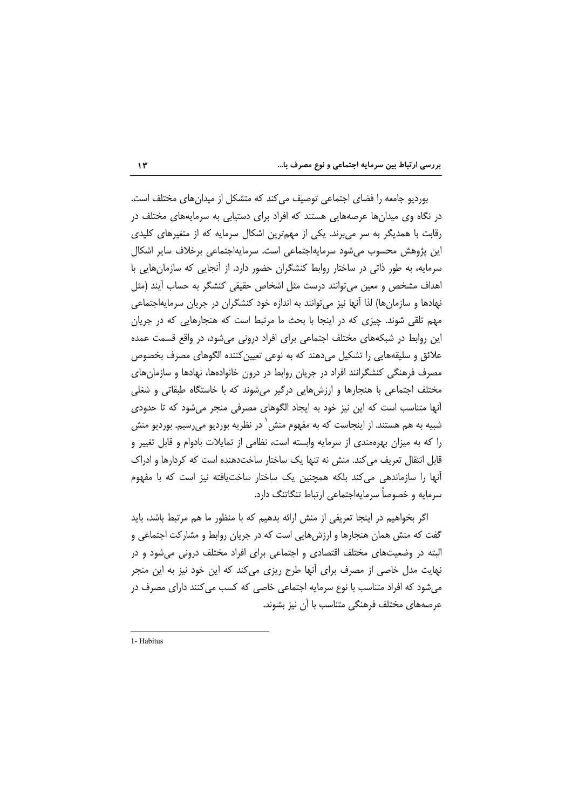|  |  |  |  |  |  |  |  | بررسی ارتباط بین سرمایه اجتماعی و نوع مصرف با |
|--|--|--|--|--|--|--|--|-----------------------------------------------|
|--|--|--|--|--|--|--|--|-----------------------------------------------|

بورديو جامعه را فضاى اجتماعى توصيف مى كند كه متشكل از ميدان هاى مختلف است. در نگاه وی میدانها عرصههایی هستند که افراد برای دستیابی به سرمایههای مختلف در رقابت با همدیگر به سر می برند. یکی از مهمترین اشکال سرمایه که از متغیرهای کلیدی این پژوهش محسوب می شود سرمایهاجتماعی است. سرمایهاجتماعی برخلاف سایر اشکال سرمایه، به طور ذاتی در ساختار روابط کنشگران حضور دارد. از آنجایی که سازمان هایی با اهداف مشخص و معین می توانند درست مثل اشخاص حقیقی کنشگر به حساب آیند (مثل نهادها و سازمانها) لذا آنها نیز می توانند به اندازه خود کنشگران در جریان سرمایهاجتماعی مهم تلقی شوند. چیزی که در اینجا با بحث ما مرتبط است که هنجارهایی که در جریان این روابط در شبکههای مختلف اجتماعی برای افراد درونی میشود، در واقع قسمت عمده علائق و سليقههايي را تشكيل مي دهند كه به نوعي تعيين كننده الگوهاي مصرف بخصوص مصرف فرهنگی کنشگرانند افراد در جریان روابط در درون خانوادهها، نهادها و سازمان های مختلف اجتماعی با هنجارها و ارزشهایی درگیر میشوند که با خاستگاه طبقاتی و شغلی أنها متناسب است كه اين نيز خود به ايجاد الگوهاى مصرفى منجر مى شود كه تا حدودى شبیه به هم هستند. از اینجاست که به مفهوم منش<sup>٬</sup> در نظریه بوردیو می رسیم. بوردیو منش را که به میزان بهرهمندی از سرمایه وابسته است، نظامی از تمایلات بادوام و قابل تغییر و قابل انتقال تعریف می کند. منش نه تنها یک ساختار ساختدهنده است که کردارها و ادراک أنها را سازماندهی میکند بلکه همچنین یک ساختار ساختیافته نیز است که با مفهوم سرمایه و خصوصاً سرمایهاجتماعی ارتباط تنگاتنگ دارد.

اگر بخواهیم در اینجا تعریفی از منش ارائه بدهیم که با منظور ما هم مرتبط باشد، باید گفت که منش همان هنجارها و ارزش هایی است که در جریان روابط و مشارکت اجتماعی و البته در وضعیتهای مختلف اقتصادی و اجتماعی برای افراد مختلف درونی می شود و در نهایت مدل خاصی از مصرف برای آنها طرح ریزی می کند که این خود نیز به این منجر می شود که افراد متناسب با نوع سرمایه اجتماعی خاصی که کسب می کنند دارای مصرف در عرصههای مختلف فرهنگی متناسب با آن نیز بشوند.

<sup>1-</sup> Habitus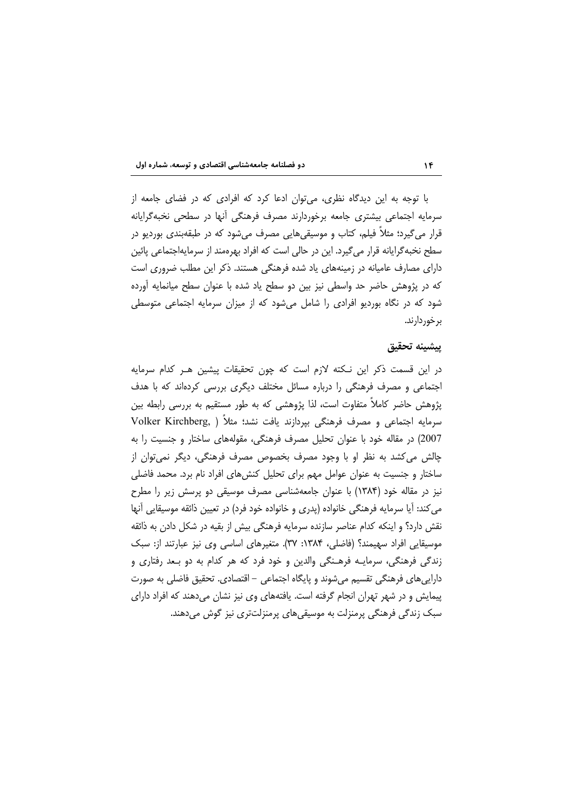با توجه به این دیدگاه نظری، می توان ادعا کرد که افرادی که در فضای جامعه از سرمایه اجتماعی بیشتری جامعه برخوردارند مصرف فرهنگی آنها در سطحی نخبهگرایانه قرار می گیرد؛ مثلاً فیلم، کتاب و موسیقیهایی مصرف میشود که در طبقهبندی بوردیو در سطح نخبه گرایانه قرار می گیرد. این در حالی است که افراد بهرهمند از سرمایهاجتماعی پائین دارای مصارف عامیانه در زمینههای یاد شده فرهنگی هستند. ذکر این مطلب ضروری است که در پژوهش حاضر حد واسطی نیز بین دو سطح یاد شده با عنوان سطح میانمایه اورده شود که در نگاه بوردیو افرادی را شامل میشود که از میزان سرمایه اجتماعی متوسطی بر خور دارند.

### ييشينه تحقيق

در این قسمت ذکر این نـکته لازم است که چون تحقیقات پیشین هـر کدام سرمایه اجتماعی و مصرف فرهنگی را درباره مسائل مختلف دیگری بررسی کردهاند که با هدف پژوهش حاضر کاملاً متفاوت است، لذا پژوهشی که به طور مستقیم به بررسی رابطه بین سرمایه اجتماعی و مصرف فرهنگی بپردازند یافت نشد؛ مثلاً ( Volker Kirchberg, 2007) در مقاله خود با عنوان تحلیل مصرف فرهنگی، مقولههای ساختار و جنسیت را به چالش می کشد به نظر او با وجود مصرف بخصوص مصرف فرهنگی، دیگر نمی توان از ساختار و جنسیت به عنوان عوامل مهم برای تحلیل کنشهای افراد نام برد. محمد فاضلی نیز در مقاله خود (۱۳۸۴) با عنوان جامعهشناسی مصرف موسیقی دو پرسش زیر را مطرح می کند: آیا سرمایه فرهنگی خانواده (پدری و خانواده خود فرد) در تعیین ذائقه موسیقایی آنها نقش دارد؟ و اینکه کدام عناصر سازنده سرمایه فرهنگی بیش از بقیه در شکل دادن به ذائقه موسیقایی افراد سهیمند؟ (فاضلی، ۱۳۸۴: ۳۷). متغیرهای اساسی وی نیز عبارتند از: سبک زندگی فرهنگی، سرمایـه فرهـنگی والدین و خود فرد که هر کدام به دو بـعد رفتاری و دارایی های فرهنگی تقسیم می شوند و پایگاه اجتماعی – اقتصادی. تحقیق فاضلی به صورت پیمایش و در شهر تهران انجام گرفته است. یافتههای وی نیز نشان میدهند که افراد دارای سبک زندگی فرهنگی پرمنزلت به موسیقیهای پرمنزلتتری نیز گوش میدهند.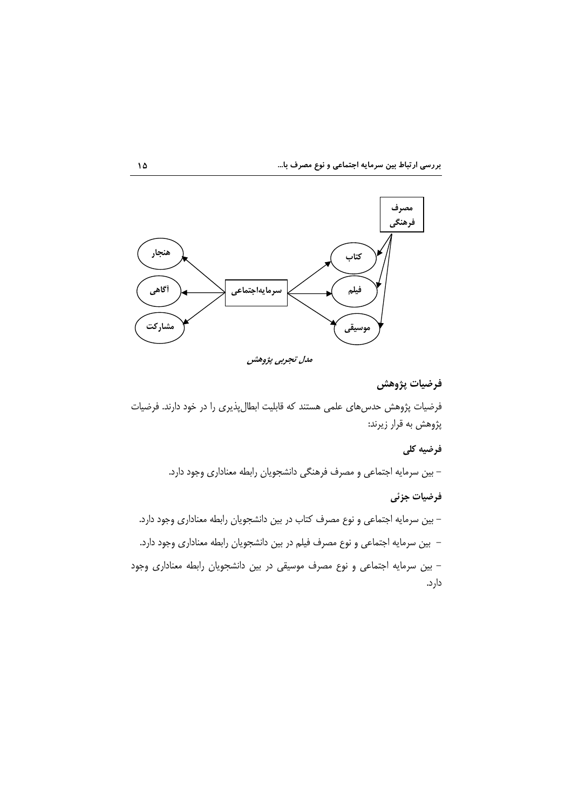

مدل تجربی پژوهش

# فرضيات پژوهش

فرضیات پژوهش حدسهای علمی هستند که قابلیت ابطالپذیری را در خود دارند. فرضیات پژوهش به قرار زیرند:

# فرضيه كلي

– بین سرمایه اجتماعی و مصرف فرهنگی دانشجویان رابطه معناداری وجود دارد.

### فرضيات جزئى

– بین سرمایه اجتماعی و نوع مصرف کتاب در بین دانشجویان رابطه معناداری وجود دارد. – بین سرمایه اجتماعی و نوع مصرف فیلم در بین دانشجویان رابطه معناداری وجود دارد. – بین سرمایه اجتماعی و نوع مصرف موسیقی در بین دانشجویان رابطه معناداری وجود دار د.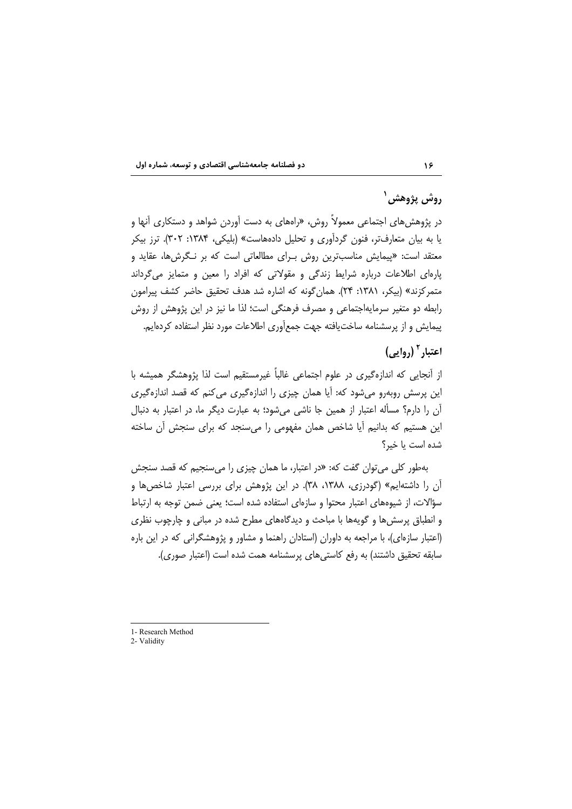# روش پژوهش<sup>۱</sup>

در پژوهش های اجتماعی معمولاً روش، «راههای به دست آوردن شواهد و دستکاری آنها و یا به بیان متعارفتر، فنون گردآوری و تحلیل دادههاست» (بلیکی، ۱۳۸۴: ۳۰۲). ترز بیکر معتقد است: «پیمایش مناسبترین روش بـرای مطالعاتی است که بر نـگرشها، عقاید و یارهای اطلاعات درباره شرایط زندگی و مقولاتی که افراد را معین و متمایز می گرداند متمركزند» (بيكر، ١٣٨١: ٢۴). همان گونه كه اشاره شد هدف تحقيق حاضر كشف پيرامون رابطه دو متغیر سرمایهاجتماعی و مصرف فرهنگی است؛ لذا ما نیز در این پژوهش از روش پیمایش و از پرسشنامه ساختیافته جهت جمعآوری اطلاعات مورد نظر استفاده کردهایم.

# اعتبار  $^{\mathsf{r}}$  (, وایی)

از أنجايي كه اندازهگيري در علوم اجتماعي غالباً غيرمستقيم است لذا پژوهشگر هميشه با این پرسش روبهرو میشود که: آیا همان چیزی را اندازهگیری میکنم که قصد اندازهگیری آن را دارم؟ مسأله اعتبار از همین جا ناشی می شود؛ به عبارت دیگر ما، در اعتبار به دنبال این هستیم که بدانیم آیا شاخص همان مفهومی را می سنجد که برای سنجش آن ساخته شده است يا خبر؟

بهطور کلی می توان گفت که: «در اعتبار، ما همان چیزی را می سنجیم که قصد سنجش آن را داشتهایم» (گودرزی، ۱۳۸۸، ۳۸). در این پژوهش برای بررسی اعتبار شاخصها و سؤالات، از شیوههای اعتبار محتوا و سازهای استفاده شده است؛ یعنی ضمن توجه به ارتباط و انطباق پرسشها و گویهها با مباحث و دیدگاههای مطرح شده در مبانی و چارچوب نظری (اعتبار سازهای)، با مراجعه به داوران (استادان راهنما و مشاور و پژوهشگرانی که در این باره سابقه تحقیق داشتند) به رفع کاستی های پرسشنامه همت شده است (اعتبار صوری).

<sup>1-</sup> Research Method

<sup>2-</sup> Validity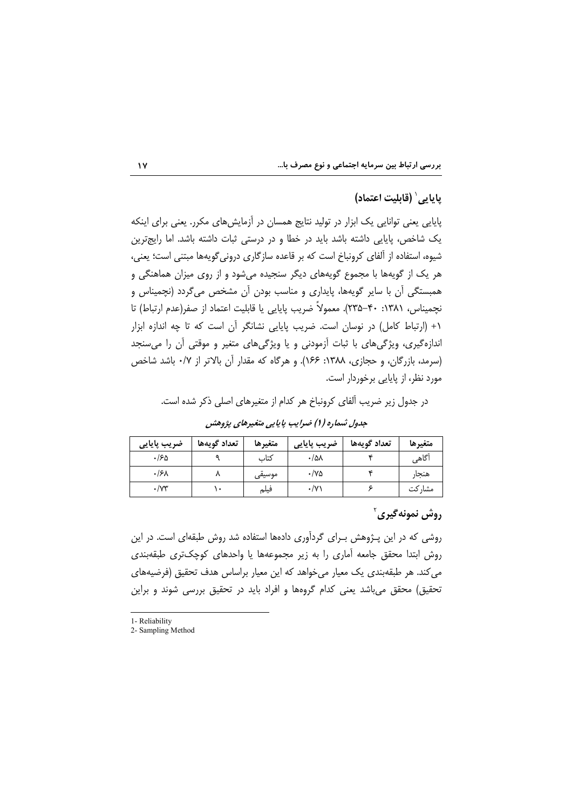|  |  |  |  | بررسی ارتباط بین سرمایه اجتماعی و نوع مصرف با |  |  |  |  |  |  |  |  |
|--|--|--|--|-----------------------------------------------|--|--|--|--|--|--|--|--|
|--|--|--|--|-----------------------------------------------|--|--|--|--|--|--|--|--|

## يايايي' (قابليت اعتماد)

پایایی یعنی توانایی یک ابزار در تولید نتایج همسان در اَزمایشهای مکرر. یعنی برای اینکه یک شاخص، پایایی داشته باشد باید در خطا و در درستی ثبات داشته باشد. اما رایجترین شیوه، استفاده از ألفای کرونباخ است که بر قاعده سازگاری درونی6گویهها مبتنی است؛ یعنی، هر یک از گویهها با مجموع گویههای دیگر سنجیده میشود و از روی میزان هماهنگی و همبستگی آن با سایر گویهها، پایداری و مناسب بودن آن مشخص می گردد (نچمیناس و نچمیناس، ۱۳۸۱: ۴۰-۲۳۵). معمولاً ضریب پایایی یا قابلیت اعتماد از صفر(عدم ارتباط) تا ١+ (ارتباط كامل) در نوسان است. ضريب پايايي نشانگر أن است كه تا چه اندازه ابزار اندازهگیری، ویژگیهای با ثبات آزمودنی و یا ویژگیهای متغیر و موقتی آن را میسنجد (سرمد، بازرگان، و حجازی، ۱۳۸۸: ۱۶۶). و هرگاه که مقدار آن بالاتر از ۰/۷ باشد شاخص مورد نظر، از پایایی برخوردار است.

در جدول زیر ضریب آلفای کرونباخ هر کدام از متغیرهای اصلی ذکر شده است.

| ضریب پایایی          | تعداد گويهها | متغيرها | ضریب پایایی | تعداد گويهها | متغيرها |
|----------------------|--------------|---------|-------------|--------------|---------|
| ۵۱۶.                 |              | كتاب    | $\cdot$ /۵۸ |              | أگاهى   |
| ۰۱۶۸                 |              | موسیقی  | ۷۵۰/۰       |              | هنجار   |
| $\cdot$ / $\gamma$ ۳ |              | فيلم    | ۰/۷۱        |              | مشار کت |

جدول شماره (۱) ضرایب پایایی متغیرهای پژوهش

## روش نمونهگیری ٔ

روشی که در این پـژوهش بـرای گردآوری دادهها استفاده شد روش طبقهای است. در این روش ابتدا محقق جامعه آماری را به زیر مجموعهها یا واحدهای کوچکتری طبقهبندی می کند. هر طبقهبندی یک معیار میخواهد که این معیار براساس هدف تحقیق (فرضیههای تحقیق) محقق می باشد یعنی کدام گروهها و افراد باید در تحقیق بررسی شوند و براین

1- Reliability

#### $\mathbf{y}$

<sup>2-</sup> Sampling Method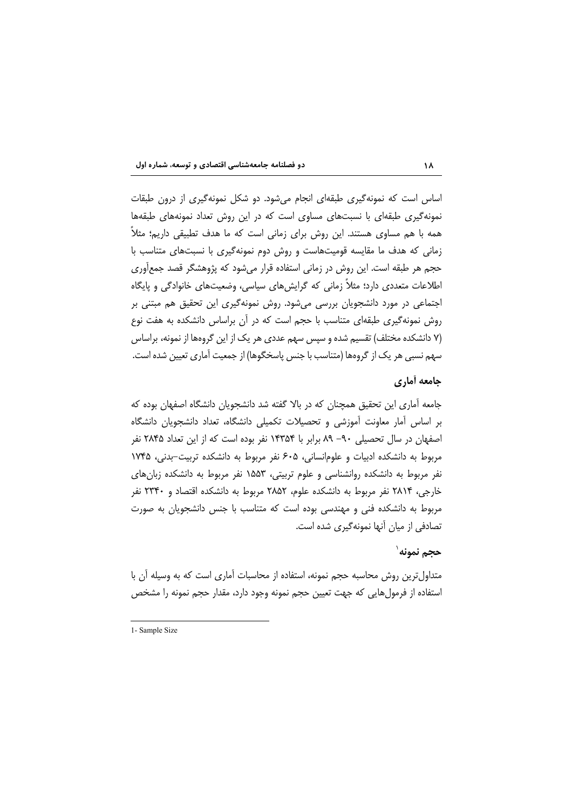اساس است که نمونهگیری طبقهای انجام میشود. دو شکل نمونهگیری از درون طبقات نمونه گیری طبقهای با نسبتهای مساوی است که در این روش تعداد نمونههای طبقهها همه با هم مساوی هستند. این روش برای زمانی است که ما هدف تطبیقی داریم؛ مثلاً زمانی که هدف ما مقایسه قومیتهاست و روش دوم نمونهگیری با نسبتهای متناسب با حجم هر طبقه است. این روش در زمانی استفاده قرار میشود که پژوهشگر قصد جمعآوری اطلاعات متعددی دارد؛ مثلاً زمانی که گرایشهای سیاسی، وضعیتهای خانوادگی و پایگاه اجتماعی در مورد دانشجویان بررسی میشود. روش نمونهگیری این تحقیق هم مبتنی بر روش نمونه گیری طبقهای متناسب با حجم است که در آن براساس دانشکده به هفت نوع (۷ دانشکده مختلف) تقسیم شده و سپس سهم عددی هر یک از این گروهها از نمونه، براساس سهم نسبی هر یک از گروهها (متناسب با جنس پاسخگوها) از جمعیت آماری تعیین شده است.

# جامعه أماري

جامعه آماری این تحقیق همچنان که در بالا گفته شد دانشجویان دانشگاه اصفهان بوده که بر اساس امار معاونت آموزشی و تحصیلات تکمیلی دانشگاه، تعداد دانشجویان دانشگاه اصفهان در سال تحصیلی ۹۰– ۸۹ برابر با ۱۴۳۵۴ نفر بوده است که از این تعداد ۲۸۴۵ نفر مربوط به دانشکده ادبیات و علومانسانی، ۶۰۵ نفر مربوط به دانشکده تربیت-بدنی، ۱۷۴۵ نفر مربوط به دانشکده روانشناسی و علوم تربیتی، ۱۵۵۳ نفر مربوط به دانشکده زبانهای خارجی، ۲۸۱۴ نفر مربوط به دانشکده علوم، ۲۸۵۲ مربوط به دانشکده اقتصاد و ۲۳۴۰ نفر مربوط به دانشکده فنی و مهندسی بوده است که متناسب با جنس دانشجویان به صورت تصادفی از میان آنها نمونهگیری شده است.

# حجم نمونه`

متداول ترین روش محاسبه حجم نمونه، استفاده از محاسبات أماری است که به وسیله أن با استفاده از فرمولهايي كه جهت تعيين حجم نمونه وجود دارد، مقدار حجم نمونه را مشخص

<sup>1-</sup> Sample Size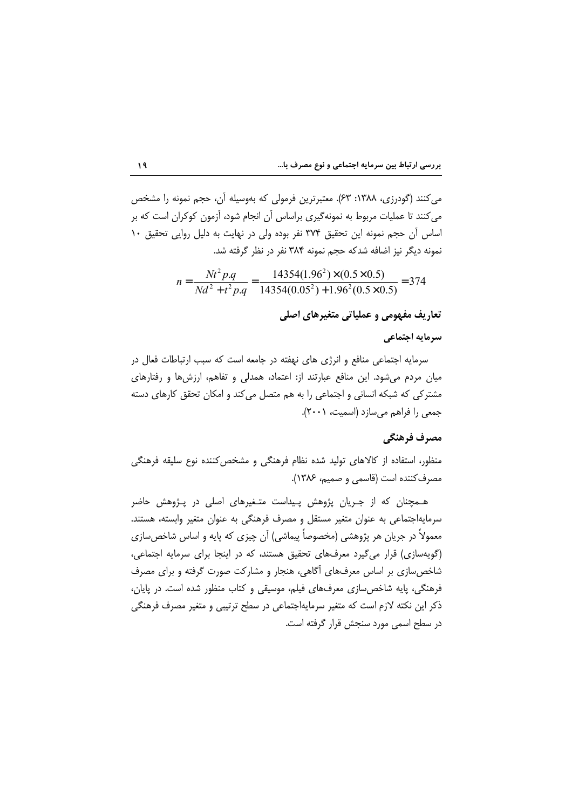می کنند (گودرزی، ۱۳۸۸: ۶۳). معتبرترین فرمولی که بهوسیله آن، حجم نمونه را مشخص می کنند تا عملیات مربوط به نمونه گیری براساس آن انجام شود، آزمون کوکران است که بر اساس آن حجم نمونه این تحقیق ٣٧۴ نفر بوده ولی در نهایت به دلیل روایی تحقیق ١٠ نمونه ديگر نيز اضافه شدكه حجم نمونه ۳۸۴ نفر در نظر گرفته شد.

$$
n = \frac{Nt^2 p.q}{Nd^2 + t^2 p.q} = \frac{14354(1.96^2) \times (0.5 \times 0.5)}{14354(0.05^2) + 1.96^2(0.5 \times 0.5)} = 374
$$

تعاریف مفهومی و عملیاتی متغیرهای اصلی

### سرمايه اجتماعي

سرمایه اجتماعی منافع و انرژی های نهفته در جامعه است که سبب ارتباطات فعال در میان مردم می شود. این منافع عبارتند از: اعتماد، همدلی و تفاهم، ارزش ها و رفتارهای مشترکی که شبکه انسانی و اجتماعی را به هم متصل میکند و امکان تحقق کارهای دسته جمعي را فراهم مي سازد (اسميت، ٢٠٠١).

# مصرف فرهنگي

منظور، استفاده از کالاهای تولید شده نظام فرهنگی و مشخص کننده نوع سلیقه فرهنگی مصرف كننده است (قاسمي و صميم، ١٣٨۶).

هـمچنان که از جـریان پژوهش پـیداست متـغیرهای اصلی در پـژوهش حاضر سرمایهاجتماعی به عنوان متغیر مستقل و مصرف فرهنگی به عنوان متغیر وابسته، هستند. معمولاً در جریان هر پژوهشی (مخصوصاً پیماشی) آن چیزی که پایه و اساس شاخص سازی (گویهسازی) قرار می گیرد معرفهای تحقیق هستند، که در اینجا برای سرمایه اجتماعی، شاخص سازی بر اساس معرفهای آگاهی، هنجار و مشارکت صورت گرفته و برای مصرف فرهنگی، پایه شاخص سازی معرفهای فیلم، موسیقی و کتاب منظور شده است. در پایان، ذکر این نکته لازم است که متغیر سرمایهاجتماعی در سطح ترتیبی و متغیر مصرف فرهنگی در سطح اسمی مورد سنجش قرار گرفته است.

 $\lambda$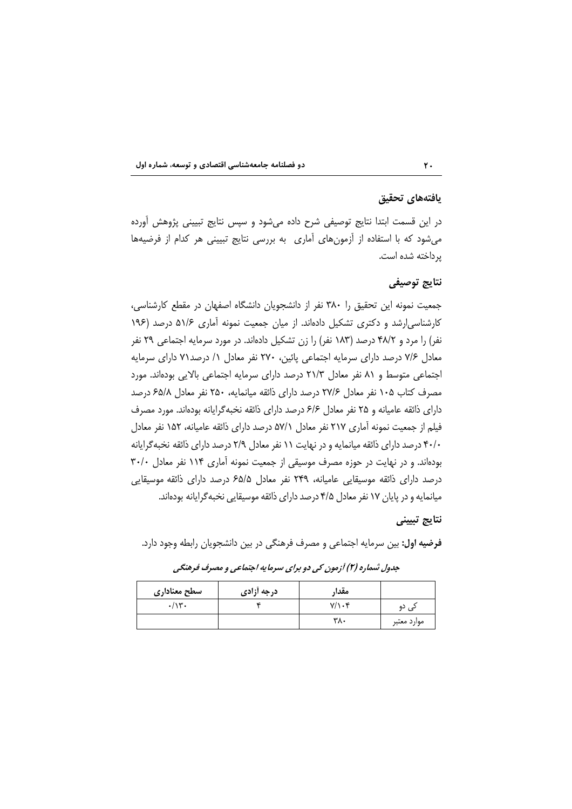### يافتههاى تحقيق

در این قسمت ابتدا نتایج توصیفی شرح داده میشود و سپس نتایج تبیینی پژوهش آورده می شود که با استفاده از آزمون های آماری به بررسی نتایج تبیینی هر کدام از فرضیهها پرداخته شده است.

## نتايج توصيفي

جمعیت نمونه این تحقیق را ۳۸۰ نفر از دانشجویان دانشگاه اصفهان در مقطع کارشناسی، کارشناسی ارشد و دکتری تشکیل دادهاند. از میان جمعیت نمونه آماری ۵۱/۶ درصد (۱۹۶ نفر) را مرد و ۴۸/۲ درصد (۱۸۳ نفر) را زن تشکیل دادهاند. در مورد سرمایه اجتماعی ۲۹ نفر معادل ۷/۶ درصد دارای سرمایه اجتماعی پائین، ۲۷۰ نفر معادل ۱/ درصد۷۱ دارای سرمایه اجتماعی متوسط و ۸۱ نفر معادل ۲۱/۳ درصد دارای سرمایه اجتماعی بالایی بودهاند. مورد مصرف کتاب ۱۰۵ نفر معادل ۲۷/۶ درصد دارای ذائقه میانمایه، ۲۵۰ نفر معادل ۶۵/۸ درصد دارای ذائقه عامیانه و ۲۵ نفر معادل ۶/۶ درصد دارای ذائقه نخبهگرایانه بودهاند. مورد مصرف فیلم از جمعیت نمونه آماری ۲۱۷ نفر معادل ۵۷/۱ درصد دارای ذائقه عامیانه، ۱۵۲ نفر معادل ۴۰/۰ درصد دارای ذائقه میانمایه و در نهایت ۱۱ نفر معادل ۲/۹ درصد دارای ذائقه نخبه گرایانه بودهاند. و در نهایت در حوزه مصرف موسیقی از جمعیت نمونه آماری ۱۱۴ نفر معادل ۳۰/۰ درصد دارای ذائقه موسیقایی عامیانه، ۲۴۹ نفر معادل ۶۵/۵ درصد دارای ذائقه موسیقایی میانمایه و در پایان ۱۷ نفر معادل ۴/۵ درصد دارای ذائقه موسیقایی نخبه گرایانه بودهاند.

# نتايج تبييني

فرضیه اول: بین سرمایه اجتماعی و مصرف فرهنگی در بین دانشجویان رابطه وجود دارد.

| سطح معنادارى  | درجه أزادى | مقدا, |             |
|---------------|------------|-------|-------------|
| $/ \vee \vee$ |            | ۰۴/۱۰ | دے , دو     |
|               |            | ۳۸۰   | موارد معتبر |

جدول شماره (۲) آزمون کی دو برای سرمایه اجتماعی و مصرف فرهنگی

 $\mathbf{Y}$ .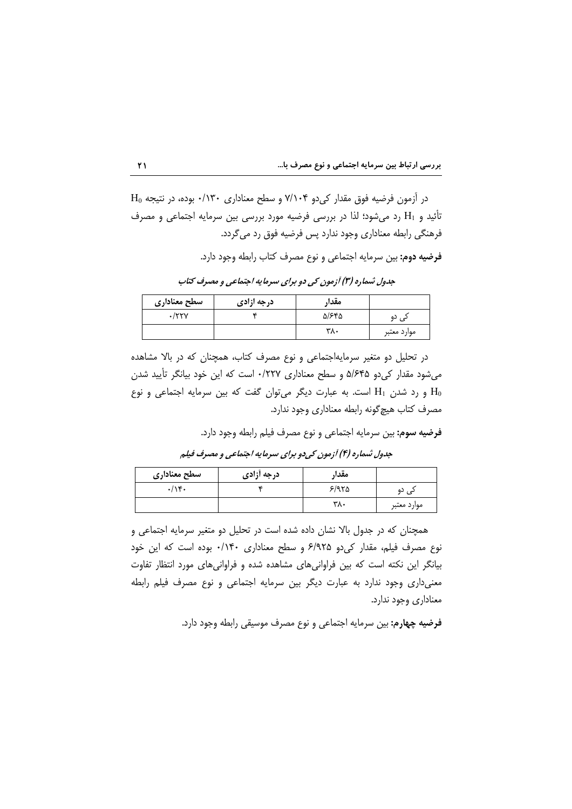$H_0$  در آزمون فرضیه فوق مقدار کی دو ۷/۱۰۴ و سطح معناداری ۰/۱۳۰ بوده، در نتیجه تأئيد و H1 رد مي شود؛ لذا در بررسي فرضيه مورد بررسي بين سرمايه اجتماعي و مصرف فرهنگی رابطه معناداری وجود ندارد پس فرضیه فوق رد می گردد.

**فرضيه دوم:** بين سرمايه اجتماعي و نوع مصرف كتاب رابطه وجود دارد.

| سطح معنادارى       | درجه ازادی | مقدار |             |
|--------------------|------------|-------|-------------|
| $\cdot$ /۲۲ $\vee$ |            | 5/۶۴۵ | ده          |
|                    |            | ۳۸۰   | موارد معتبر |

جدول شماره (۳) آزمون کی دو برای سرمایه اجتماعی و مصرف کتاب

در تحلیل دو متغیر سرمایهاجتماعی و نوع مصرف کتاب، همچنان که در بالا مشاهده می شود مقدار کی دو ۵/۶۴۵ و سطح معناداری ۰/۲۲۷ است که این خود بیانگر تأیید شدن و رد شدن  $H_1$  است. به عبارت دیگر می توان گفت که بین سرمایه اجتماعی و نوع  $H_0$ مصرف كتاب هيچ گونه رابطه معناداري وجود ندارد.

فرضيه سوم: بين سرمايه اجتماعي و نوع مصرف فيلم رابطه وجود دارد.

جدول شماره (۴) آزمون کی دو برای سرمایه اجتماعی و مصرف فیلم

| سطح معنادارى | درجه أزادى | مقدا, |             |
|--------------|------------|-------|-------------|
| ۱۴۰          |            | 5/970 | ده          |
|              |            | ۳۸۰   | موارد معتبر |

همچنان که در جدول بالا نشان داده شده است در تحلیل دو متغیر سرمایه اجتماعی و نوع مصرف فیلم، مقدار کی دو ۶/۹۲۵ و سطح معناداری ۰/۱۴۰ بوده است که این خود بیانگر این نکته است که بین فراوانیهای مشاهده شده و فراوانیهای مورد انتظار تفاوت معنیداری وجود ندارد به عبارت دیگر بین سرمایه اجتماعی و نوع مصرف فیلم رابطه معناداری وجود ندارد.

**فرضيه چهارم:** بين سرمايه اجتماعي و نوع مصرف موسيقى رابطه وجود دارد.

 $\mathbf{Y}$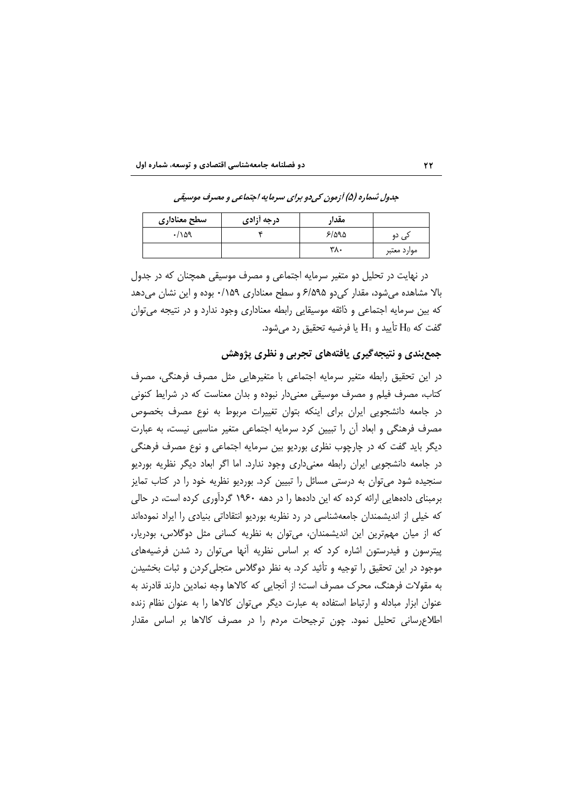| سطح معناداري | درجه أزادى | مقدا, |             |
|--------------|------------|-------|-------------|
| .109         |            | ۳/۵۹۵ | دی دو       |
|              |            | ۳λ٠   | موارد معتبر |

جدول شماره (۵) آزمون کې دو برای سرمایه اجتماعي و مصرف موسیقي

در نهایت در تحلیل دو متغیر سرمایه اجتماعی و مصرف موسیقی همچنان که در جدول بالا مشاهده می شود، مقدار کی دو ۶/۵۹۵ و سطح معناداری ۰/۱۵۹ بوده و این نشان می دهد که بین سرمایه اجتماعی و ذائقه موسیقایی رابطه معناداری وجود ندارد و در نتیجه می توان گفت که  $\mathrm{H}_0$  تأييد و  $\mathrm{H}_1$  يا فرضيه تحقيق رد مى شود.

# جمع بندی و نتیجه گیری یافتههای تجربی و نظری پژوهش

در این تحقیق رابطه متغیر سرمایه اجتماعی با متغیرهایی مثل مصرف فرهنگی، مصرف کتاب، مصرف فیلم و مصرف موسیقی معنیدار نبوده و بدان معناست که در شرایط کنونی در جامعه دانشجویی ایران برای اینکه بتوان تغییرات مربوط به نوع مصرف بخصوص مصرف فرهنگی و ابعاد آن را تبیین کرد سرمایه اجتماعی متغیر مناسبی نیست، به عبارت دیگر باید گفت که در چارچوب نظری بوردیو بین سرمایه اجتماعی و نوع مصرف فرهنگی در جامعه دانشجویی ایران رابطه معنیداری وجود ندارد. اما اگر ابعاد دیگر نظریه بوردیو سنجیده شود می توان به درستی مسائل را تبیین کرد. بوردیو نظریه خود را در کتاب تمایز برمبنای دادههایی ارائه کرده که این دادهها را در دهه ۱۹۶۰ گردآوری کرده است، در حالی که خیلی از اندیشمندان جامعهشناسی در رد نظریه بوردیو انتقاداتی بنیادی را ایراد نمودهاند كه از ميان مهمترين اين انديشمندان، مي توان به نظريه كساني مثل دوگلاس، بودريار، پیترسون و فیدرستون اشاره کرد که بر اساس نظریه آنها میتوان رد شدن فرضیههای موجود در این تحقیق را توجیه و تأئید کرد. به نظر دوگلاس متجلی کردن و ثبات بخشیدن به مقولات فرهنگ، محرک مصرف است؛ از آنجایی که کالاها وجه نمادین دارند قادرند به عنوان ابزار مبادله و ارتباط استفاده به عبارت دیگر میتوان کالاها را به عنوان نظام زنده اطلاع رسانی تحلیل نمود. چون ترجیحات مردم را در مصرف کالاها بر اساس مقدار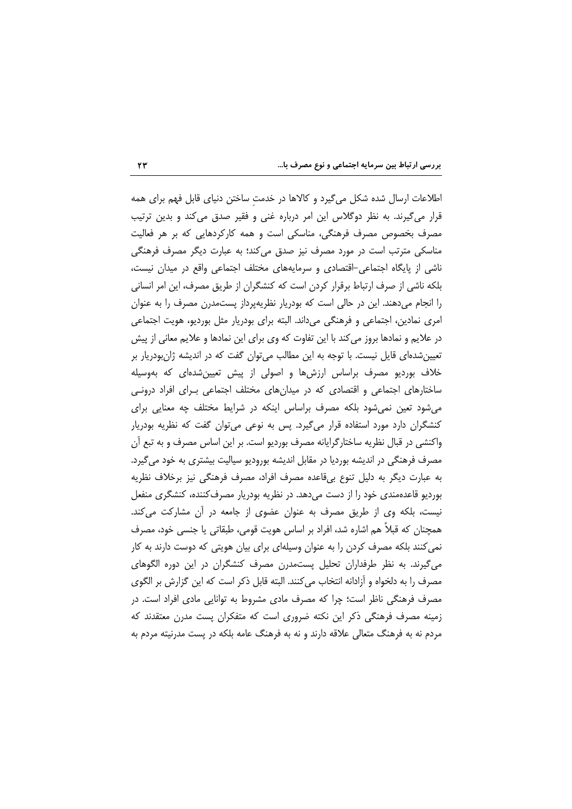اطلاعات ارسال شده شکل میگیرد و کالاها در خدمت ساختن دنیای قابل فهم برای همه قرار می گیرند. به نظر دوگلاس این امر درباره غنی و فقیر صدق می کند و بدین ترتیب مصرف بخصوص مصرف فرهنگی، مناسکی است و همه کارکردهایی که بر هر فعالیت مناسکی مترتب است در مورد مصرف نیز صدق میکند؛ به عبارت دیگر مصرف فرهنگی ناشی از پایگاه اجتماعی-اقتصادی و سرمایههای مختلف اجتماعی واقع در میدان نیست، بلکه ناشی از صرف ارتباط برقرار کردن است که کنشگران از طریق مصرف، این امر انسانی را انجام میدهند. این در حالی است که بودریار نظریهپرداز پستمدرن مصرف را به عنوان امری نمادین، اجتماعی و فرهنگی میداند. البته برای بودریار مثل بوردیو، هویت اجتماعی در علایم و نمادها بروز می کند با این تفاوت که وی برای این نمادها و علایم معانی از پیش تعیین شدهای قایل نیست. با توجه به این مطالب می توان گفت که در اندیشه ژانبودریار بر خلاف بوردیو مصرف براساس ارزشها و اصولی از پیش تعیینشدهای که بهوسیله ساختارهای اجتماعی و اقتصادی که در میدانهای مختلف اجتماعی بـرای افراد درونـی می شود تعین نمی شود بلکه مصرف براساس اینکه در شرایط مختلف چه معنایی برای کنشگران دارد مورد استفاده قرار میگیرد. پس به نوعی میتوان گفت که نظریه بودریار واکنشی در قبال نظریه ساختارگرایانه مصرف بوردیو است. بر این اساس مصرف و به تبع آن مصرف فرهنگی در اندیشه بوردیا در مقابل اندیشه بورودیو سیالیت بیشتری به خود می گیرد. به عبارت دیگر به دلیل تنوع بیقاعده مصرف افراد، مصرف فرهنگی نیز برخلاف نظریه بوردیو قاعدهمندی خود را از دست میدهد. در نظریه بودریار مصرف کننده، کنشگری منفعل نیست، بلکه وی از طریق مصرف به عنوان عضوی از جامعه در آن مشارکت میکند. همچنان که قبلاً هم اشاره شد، افراد بر اساس هویت قومی، طبقاتی یا جنسی خود، مصرف نمی کنند بلکه مصرف کردن را به عنوان وسیلهای برای بیان هویتی که دوست دارند به کار می گیرند. به نظر طرفداران تحلیل پستمدرن مصرف کنشگران در این دوره الگوهای مصرف را به دلخواه و ازادانه انتخاب می کنند. البته قابل ذکر است که این گزارش بر الگوی مصرف فرهنگی ناظر است؛ چرا که مصرف مادی مشروط به توانایی مادی افراد است. در زمینه مصرف فرهنگی ذکر این نکته ضروری است که متفکران پست مدرن معتقدند که مردم نه به فرهنگ متعالی علاقه دارند و نه به فرهنگ عامه بلکه در پست مدرنیته مردم به

 $YY$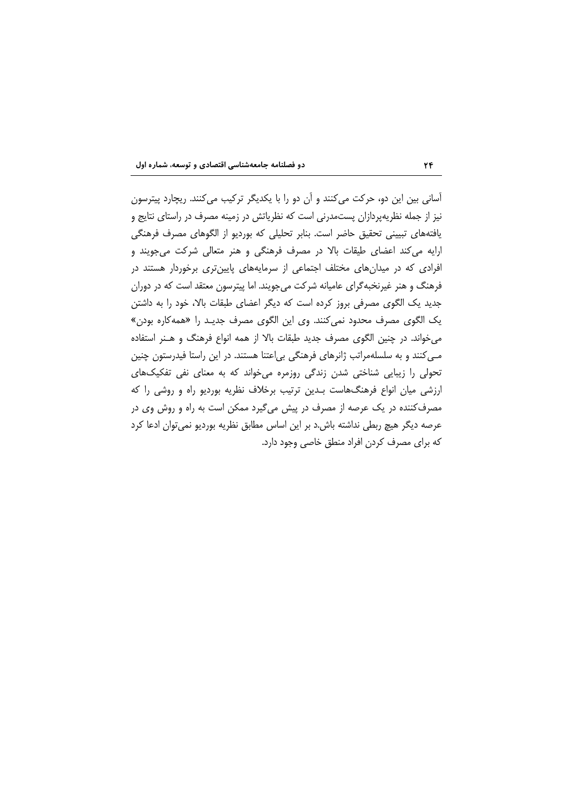آسانی بین این دو، حرکت میکنند و آن دو را با یکدیگر ترکیب میکنند. ریچارد پیترسون نیز از جمله نظریهپردازان پستمدرنی است که نظریاتش در زمینه مصرف در راستای نتایج و یافتههای تبیینی تحقیق حاضر است. بنابر تحلیلی که بوردیو از الگوهای مصرف فرهنگی ارایه می کند اعضای طیقات بالا در مصرف فرهنگی و هنر متعالی شرکت می جویند و افرادی که در میدانهای مختلف اجتماعی از سرمایههای پایین تری برخوردار هستند در فرهنگ و هنر غیرنخبهگرای عامیانه شرکت میجویند. اما پیترسون معتقد است که در دوران جدید یک الگوی مصرفی بروز کرده است که دیگر اعضای طبقات بالا، خود را به داشتن یک الگوی مصرف محدود نمی کنند. وی این الگوی مصرف جدید را «همه کاره بودن» می خواند. در چنین الگوی مصرف جدید طبقات بالا از همه انواع فرهنگ و هـنر استفاده مـی کنند و به سلسلهمراتب ژانرهای فرهنگی بی|عتنا هستند. در این راستا فیدرستون چنین تحولی را زیبایی شناختی شدن زندگی روزمره می خواند که به معنای نفی تفکیکهای ارزشی میان انواع فرهنگهاست بـدین ترتیب برخلاف نظریه بوردیو راه و روشی را که مصرف کننده در یک عرصه از مصرف در پیش میگیرد ممکن است به راه و روش وی در عرصه دیگر هیچ ربطی نداشته باش.د بر این اساس مطابق نظریه بوردیو نمی توان ادعا کرد كه براي مصرف كردن افراد منطق خاصي وجود دارد.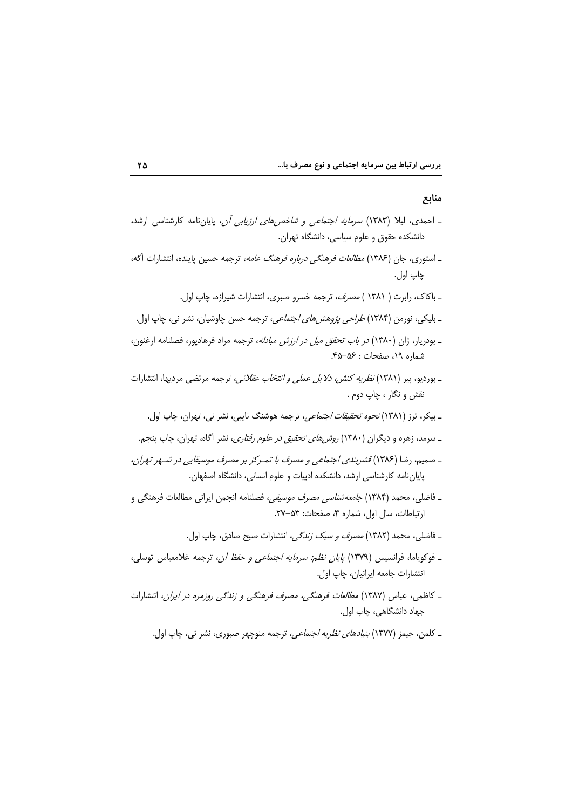### منابع

- ـ احمدی، لیلا (۱۳۸۳) *سرمایه اجتماعی و شاخصهای ارزیابی آن*، پایاننامه کارشناسی ارشد، دانشکده حقوق و علوم سیاسی، دانشگاه تهران.
- ـ استورى، جان (١٣٨۶) *مطالعات فرهنگي درباره فرهنگ عامه*، ترجمه حسين پاينده، انتشارات آگه، چاپ اول.
	- ـ باكاك، رابرت ( ۱۳۸۱ ) *مصرف،* ترجمه خسرو صبرى، انتشارات شيرازه، چاپ اول.
- ـ بلیکی، نورمن (۱۳۸۴) *طراحی پژوهشهای اجتماعی*، ترجمه حسن چاوشیان، نشر نی، چاپ اول.
- \_ بودریار، ژان (۱۳۸۰) *در باب تحقق میل در ارزش مبادله*، ترجمه مراد فرهادپور، فصلنامه ارغنون، شماره ١٩، صفحات: ۴۵-۴۵.
- ـ بورديو، پير (١٣٨١) *نظريه كنش، دلايل عملي و انتخاب عقلاني*، ترجمه مرتضى مرديها، انتشارات نقش و نگار ، چاپ دوم .
	- ـ بیکر، ترز (۱۳۸۱) *نحوه تحقیقات اجتماعی،* ترجمه هوشنگ نایبی، نشر نی، تهران، چاپ اول.
	- ـ سرمد، زهره و دیگران (۱۳۸۰) *روش های تحقیق در علوم رفتاری*، نشر آگاه، تهران، چاپ پنجم.
- ـ صميم، رضا (١٣٨٤) قشربندي اجتماعي و مصرف با تمـركز بر مصرف موسيقايي در شـهر تهران، پایاننامه کارشناسی ارشد، دانشکده ادبیات و علوم انسانی، دانشگاه اصفهان.
- ــ فاضلي، محمد (۱۳۸۴) *جامعه شناسي مصرف موسيقي،* فصلنامه انجمن ايراني مطالعات فرهنگي و ارتباطات، سال اول، شماره ۴، صفحات: ۵۳-۲۷.
	- ـ فاضلي، محمد (١٣٨٢) *مصرف و سبک زندگي،* انتشارات صبح صادق، چاپ اول.
- ـ فوكوياما، فرانسيس (١٣٧٩) *پايان نظم: سرمايه اجتماعي و حفظ آن*، ترجمه غلامعباس توسلي، انتشارات جامعه ايرانيان، چاپ اول.
- ـ كاظمه ، عباس (١٣٨٧) *مطالعات فرهنگم ، مصرف فرهنگی و زندگی روزمره در ایران*، انتشارات جهاد دانشگاهي، چاپ اول.
	- ـ کلمن، جیمز (۱۳۷۷) *بنیادهای نظریه اجتماعی*، ترجمه منوچهر صبوری، نشر نی، چاپ اول.